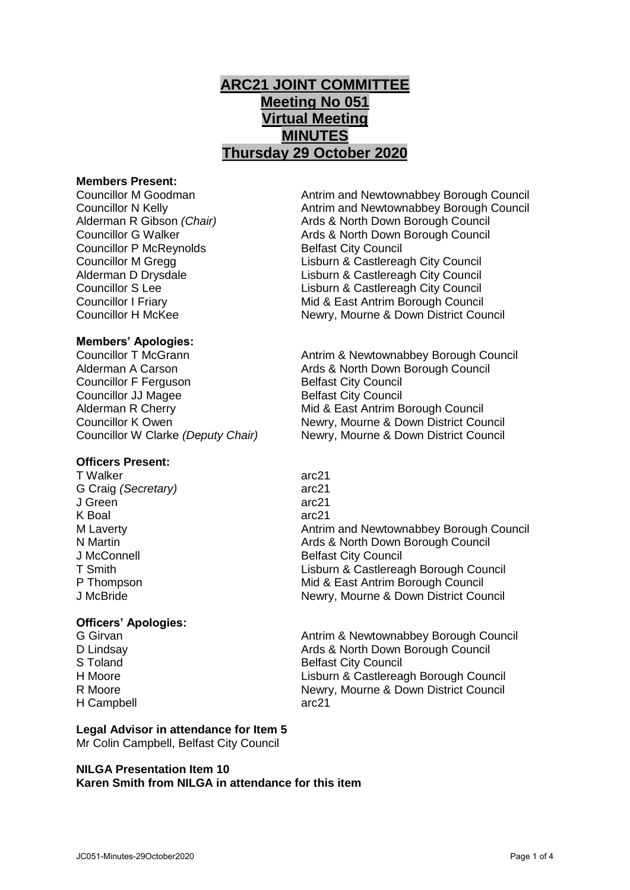# **ARC21 JOINT COMMITTEE Meeting No 051 Virtual Meeting MINUTES Thursday 29 October 2020**

#### **Members Present:**

Councillor P McReynolds Belfast City Council

Councillor M Goodman **Antrim and Newtownabbey Borough Council** Councillor N Kelly Antrim and Newtownabbey Borough Council Alderman R Gibson *(Chair)* Ards & North Down Borough Council Councillor G Walker **Ards & North Down Borough Council** Councillor M Gregg Councillor M Gregg Lisburn & Castlereagh City Council<br>Alderman D Drysdale Council Lisburn & Castlereagh City Council Lisburn & Castlereagh City Council Councillor S Lee Lisburn & Castlereagh City Council Councillor I Friary Mid & East Antrim Borough Council Councillor H McKee Newry, Mourne & Down District Council

# **Members' Apologies:**

Alderman A Carson **Ards & North Down Borough Council** Councillor F Ferguson Belfast City Council **Councillor JJ Magee Belfast City Council** Alderman R Cherry **Mid & East Antrim Borough Council** 

# **Officers Present:**

T Walker arc21 G Craig *(Secretary)* arc21 J Green arc21 K Boal arc21

# **Officers' Apologies:**

H Campbell arc21

**Legal Advisor in attendance for Item 5** Mr Colin Campbell, Belfast City Council

# **NILGA Presentation Item 10 Karen Smith from NILGA in attendance for this item**

Councillor K Owen Newry, Mourne & Down District Council Councillor W Clarke *(Deputy Chair)* Newry, Mourne & Down District Council

Antrim & Newtownabbey Borough Council

M Laverty **Antrim and Newtownabbey Borough Council** Antrim and Newtownabbey Borough Council N Martin **Ards & North Down Borough Council** J McConnell **Belfast City Council** T Smith Lisburn & Castlereagh Borough Council P Thompson Mid & East Antrim Borough Council J McBride **Newry, Mourne & Down District Council** 

G Girvan **Antrim & Newtownabbey Borough Council** Antrim & Newtownabbey Borough Council D Lindsay Ards & North Down Borough Council S Toland Belfast City Council<br>
H Moore 
Belfast City Council<br>
Lisburn & Castlerea Lisburn & Castlereagh Borough Council R Moore Newry, Mourne & Down District Council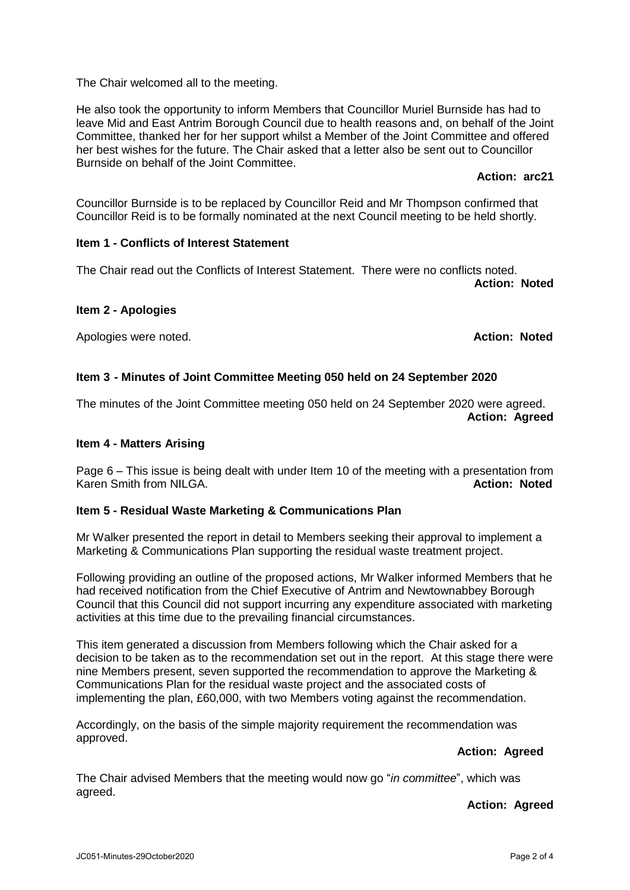The Chair welcomed all to the meeting.

He also took the opportunity to inform Members that Councillor Muriel Burnside has had to leave Mid and East Antrim Borough Council due to health reasons and, on behalf of the Joint Committee, thanked her for her support whilst a Member of the Joint Committee and offered her best wishes for the future. The Chair asked that a letter also be sent out to Councillor Burnside on behalf of the Joint Committee.

### **Action: arc21**

Councillor Burnside is to be replaced by Councillor Reid and Mr Thompson confirmed that Councillor Reid is to be formally nominated at the next Council meeting to be held shortly.

### **Item 1 - Conflicts of Interest Statement**

The Chair read out the Conflicts of Interest Statement. There were no conflicts noted.

**Action: Noted**

### **Item 2 - Apologies**

Apologies were noted. **Action: Noted**

# **Item 3 - Minutes of Joint Committee Meeting 050 held on 24 September 2020**

The minutes of the Joint Committee meeting 050 held on 24 September 2020 were agreed. **Action: Agreed**

#### **Item 4 - Matters Arising**

Page 6 – This issue is being dealt with under Item 10 of the meeting with a presentation from Karen Smith from NILGA. **Action: Noted Action: Noted** 

# **Item 5 - Residual Waste Marketing & Communications Plan**

Mr Walker presented the report in detail to Members seeking their approval to implement a Marketing & Communications Plan supporting the residual waste treatment project.

Following providing an outline of the proposed actions, Mr Walker informed Members that he had received notification from the Chief Executive of Antrim and Newtownabbey Borough Council that this Council did not support incurring any expenditure associated with marketing activities at this time due to the prevailing financial circumstances.

This item generated a discussion from Members following which the Chair asked for a decision to be taken as to the recommendation set out in the report. At this stage there were nine Members present, seven supported the recommendation to approve the Marketing & Communications Plan for the residual waste project and the associated costs of implementing the plan, £60,000, with two Members voting against the recommendation.

Accordingly, on the basis of the simple majority requirement the recommendation was approved.

# **Action: Agreed**

The Chair advised Members that the meeting would now go "*in committee*", which was agreed.

# **Action: Agreed**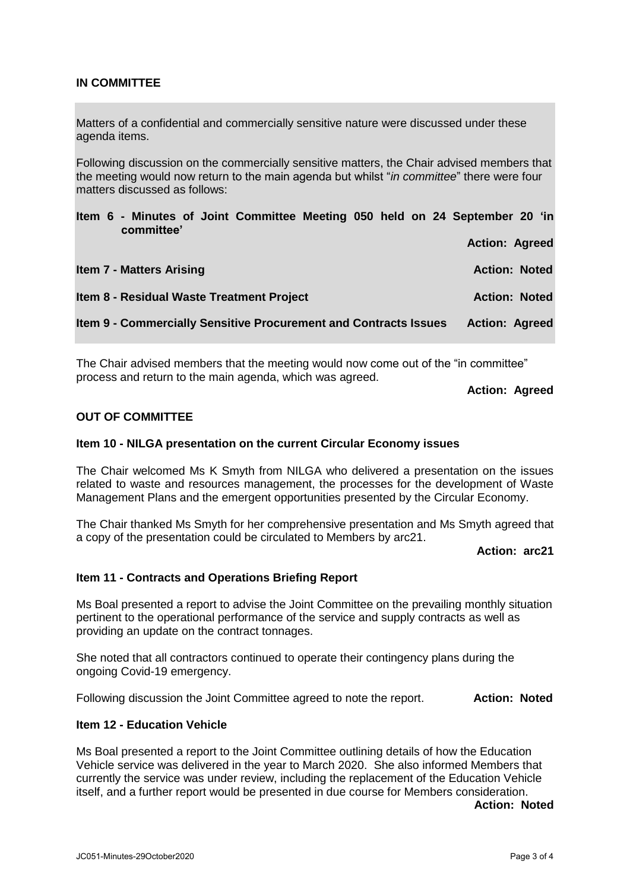# **IN COMMITTEE**

Matters of a confidential and commercially sensitive nature were discussed under these agenda items.

Following discussion on the commercially sensitive matters, the Chair advised members that the meeting would now return to the main agenda but whilst "*in committee*" there were four matters discussed as follows:

| Item 6 - Minutes of Joint Committee Meeting 050 held on 24 September 20 'in<br>committee' |                       |
|-------------------------------------------------------------------------------------------|-----------------------|
|                                                                                           | <b>Action: Agreed</b> |
| <b>Item 7 - Matters Arising</b>                                                           | <b>Action: Noted</b>  |
| Item 8 - Residual Waste Treatment Project                                                 | <b>Action: Noted</b>  |
| Item 9 - Commercially Sensitive Procurement and Contracts Issues                          | <b>Action: Agreed</b> |

The Chair advised members that the meeting would now come out of the "in committee" process and return to the main agenda, which was agreed.

**Action: Agreed**

### **OUT OF COMMITTEE**

#### **Item 10 - NILGA presentation on the current Circular Economy issues**

The Chair welcomed Ms K Smyth from NILGA who delivered a presentation on the issues related to waste and resources management, the processes for the development of Waste Management Plans and the emergent opportunities presented by the Circular Economy.

The Chair thanked Ms Smyth for her comprehensive presentation and Ms Smyth agreed that a copy of the presentation could be circulated to Members by arc21.

**Action: arc21**

#### **Item 11 - Contracts and Operations Briefing Report**

Ms Boal presented a report to advise the Joint Committee on the prevailing monthly situation pertinent to the operational performance of the service and supply contracts as well as providing an update on the contract tonnages.

She noted that all contractors continued to operate their contingency plans during the ongoing Covid-19 emergency.

Following discussion the Joint Committee agreed to note the report. **Action: Noted**

# **Item 12 - Education Vehicle**

Ms Boal presented a report to the Joint Committee outlining details of how the Education Vehicle service was delivered in the year to March 2020. She also informed Members that currently the service was under review, including the replacement of the Education Vehicle itself, and a further report would be presented in due course for Members consideration.

**Action: Noted**